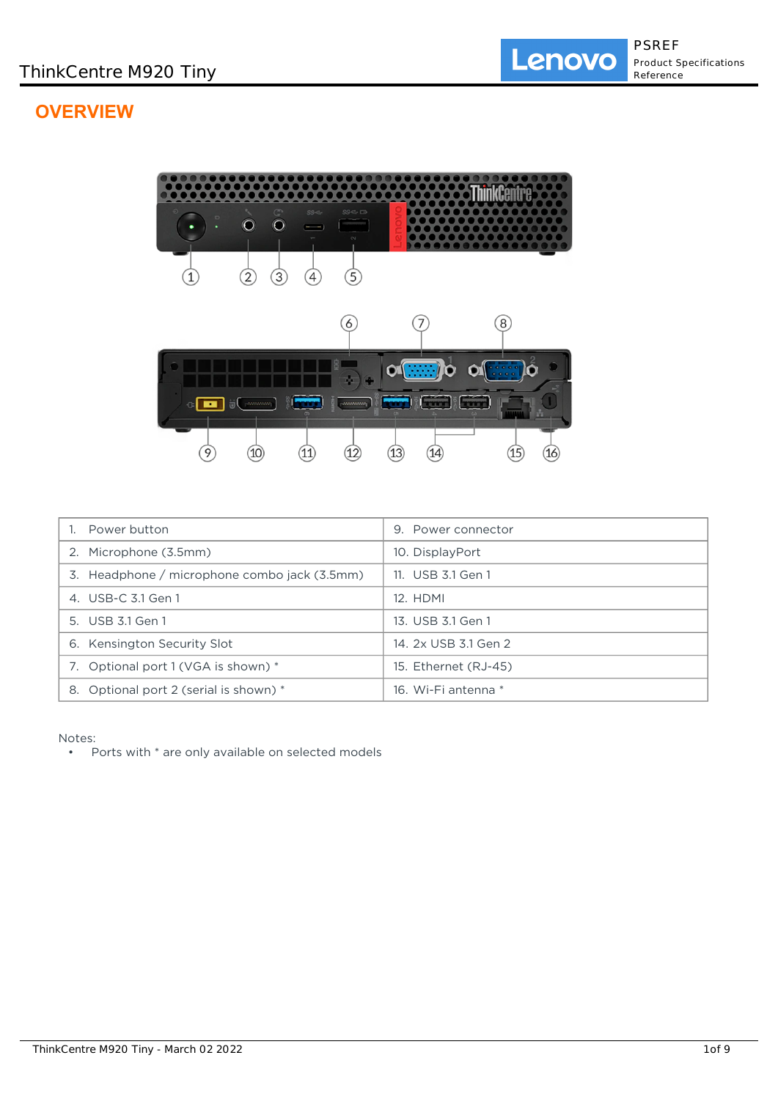# **OVERVIEW**



| Power button                                 | 9. Power connector   |
|----------------------------------------------|----------------------|
| 2. Microphone (3.5mm)                        | 10. DisplayPort      |
| 3. Headphone / microphone combo jack (3.5mm) | 11. USB 3.1 Gen 1    |
| 4. USB-C 3.1 Gen 1                           | 12. HDMI             |
| 5. USB 3.1 Gen 1                             | 13. USB 3.1 Gen 1    |
| 6. Kensington Security Slot                  | 14. 2x USB 3.1 Gen 2 |
| 7. Optional port 1 (VGA is shown) *          | 15. Ethernet (RJ-45) |
| 8. Optional port 2 (serial is shown) *       | 16. Wi-Fi antenna *  |

Notes:

• Ports with \* are only available on selected models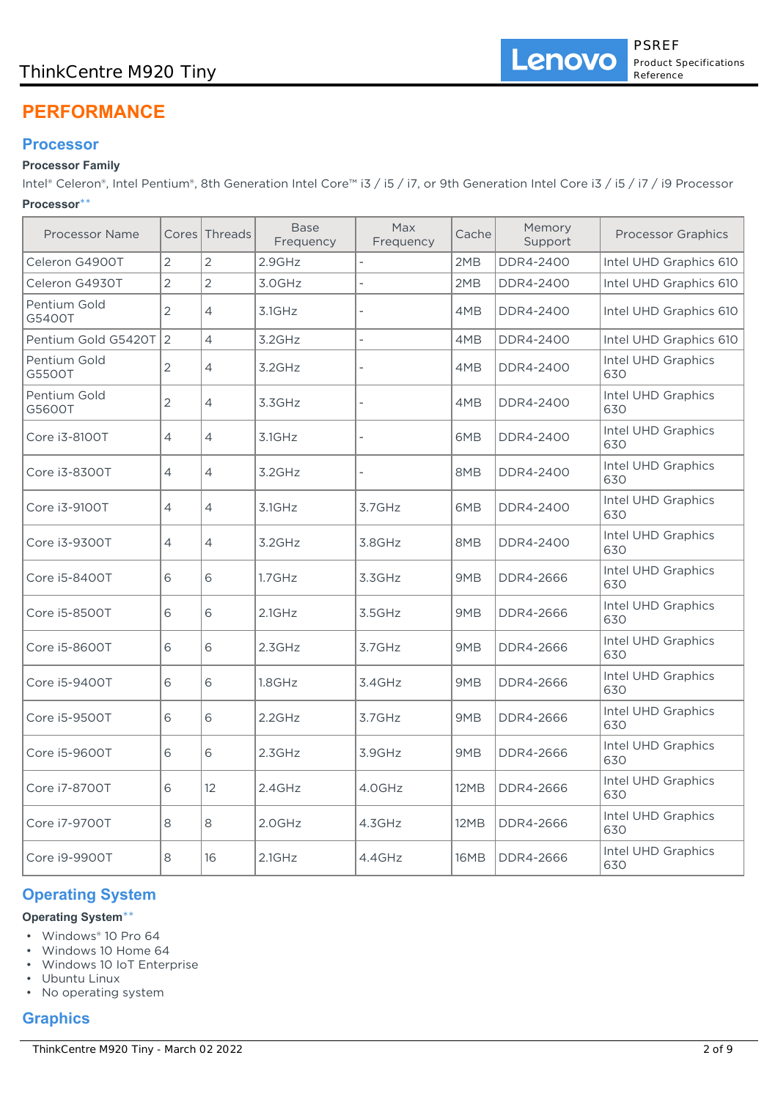## ThinkCentre M920 Tiny

# **PERFORMANCE**

## **Processor**

## **Processor Family**

Intel® Celeron®, Intel Pentium®, 8th Generation Intel Core™ i3 / i5 / i7, or 9th Generation Intel Core i3 / i5 / i7 / i9 Processor **Processor**\*\*

| <b>Processor Name</b>  | Cores          | Threads        | <b>Base</b><br>Frequency | Max<br>Frequency | Cache       | Memory<br>Support | <b>Processor Graphics</b> |
|------------------------|----------------|----------------|--------------------------|------------------|-------------|-------------------|---------------------------|
| Celeron G4900T         | $\overline{2}$ | $\overline{2}$ | 2.9GHz                   |                  | 2MB         | DDR4-2400         | Intel UHD Graphics 610    |
| Celeron G4930T         | $\overline{2}$ | $\overline{2}$ | 3.0GHz                   | L                | 2MB         | DDR4-2400         | Intel UHD Graphics 610    |
| Pentium Gold<br>G5400T | 2              | 4              | 3.1GHz                   |                  | 4MB         | DDR4-2400         | Intel UHD Graphics 610    |
| Pentium Gold G5420T    | $\overline{2}$ | $\overline{4}$ | 3.2GHz                   |                  | 4MB         | DDR4-2400         | Intel UHD Graphics 610    |
| Pentium Gold<br>G5500T | 2              | 4              | 3.2GHz                   |                  | 4MB         | DDR4-2400         | Intel UHD Graphics<br>630 |
| Pentium Gold<br>G5600T | 2              | 4              | 3.3GHz                   |                  | 4MB         | DDR4-2400         | Intel UHD Graphics<br>630 |
| Core i3-8100T          | 4              | 4              | 3.1GHz                   |                  | 6MB         | DDR4-2400         | Intel UHD Graphics<br>630 |
| Core i3-8300T          | 4              | 4              | 3.2GHz                   |                  | 8MB         | DDR4-2400         | Intel UHD Graphics<br>630 |
| Core i3-9100T          | 4              | 4              | 3.1GHz                   | 3.7GHz           | 6MB         | DDR4-2400         | Intel UHD Graphics<br>630 |
| Core i3-9300T          | 4              | 4              | 3.2GHz                   | 3.8GHz           | 8MB         | DDR4-2400         | Intel UHD Graphics<br>630 |
| Core i5-8400T          | 6              | 6              | $1.7$ GHz                | 3.3GHz           | 9MB         | DDR4-2666         | Intel UHD Graphics<br>630 |
| Core i5-8500T          | 6              | 6              | $2.1$ GHz                | 3.5GHz           | 9MB         | DDR4-2666         | Intel UHD Graphics<br>630 |
| Core i5-8600T          | 6              | 6              | 2.3GHz                   | 3.7GHz           | 9MB         | DDR4-2666         | Intel UHD Graphics<br>630 |
| Core i5-9400T          | 6              | 6              | 1.8GHz                   | 3.4GHz           | 9MB         | DDR4-2666         | Intel UHD Graphics<br>630 |
| Core i5-9500T          | 6              | 6              | 2.2GHz                   | 3.7GHz           | 9MB         | DDR4-2666         | Intel UHD Graphics<br>630 |
| Core i5-9600T          | 6              | 6              | 2.3GHz                   | 3.9GHz           | 9MB         | DDR4-2666         | Intel UHD Graphics<br>630 |
| Core i7-8700T          | 6              | 12             | 2.4GHz                   | 4.0GHz           | 12MB        | DDR4-2666         | Intel UHD Graphics<br>630 |
| Core i7-9700T          | 8              | 8              | 2.0GHz                   | 4.3GHz           | 12MB        | DDR4-2666         | Intel UHD Graphics<br>630 |
| Core i9-9900T          | 8              | 16             | 2.1GHz                   | 4.4GHz           | <b>16MB</b> | DDR4-2666         | Intel UHD Graphics<br>630 |

## **Operating System**

## **Operating System**\*\*

- Windows® 10 Pro 64
- Windows 10 Home 64
- Windows 10 IoT Enterprise
- Ubuntu Linux
- No operating system

## **Graphics**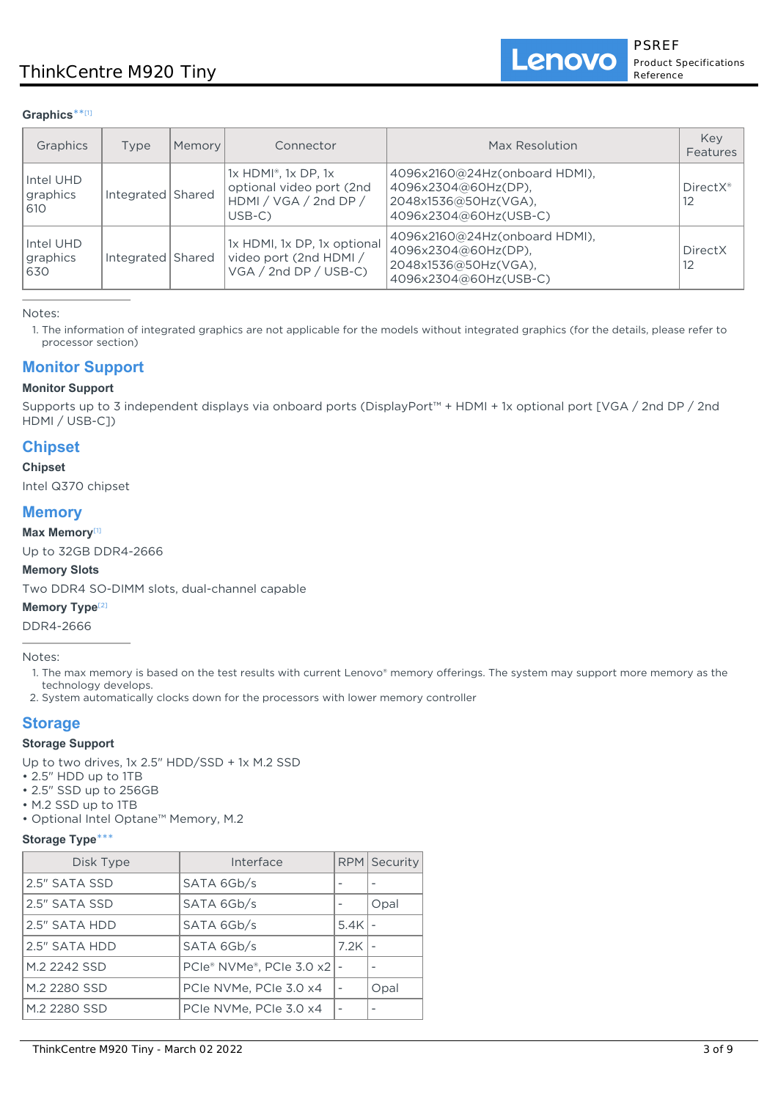Lenovo

#### **Graphics**\*\* [1]

| Graphics                     | Type              | Memory | Connector                                                                                              | Max Resolution                                                                                        | Key<br>Features              |
|------------------------------|-------------------|--------|--------------------------------------------------------------------------------------------------------|-------------------------------------------------------------------------------------------------------|------------------------------|
| Intel UHD<br>graphics<br>610 | Integrated Shared |        | $1x$ HDMI <sup>®</sup> , $1x$ DP, $1x$<br>optional video port (2nd<br>HDMI / VGA / 2nd DP /<br>$USB-C$ | 4096x2160@24Hz(onboard HDMI),<br>4096x2304@60Hz(DP),<br>2048x1536@50Hz(VGA),<br>4096x2304@60Hz(USB-C) | DirectX <sup>®</sup><br>12   |
| Intel UHD<br>graphics<br>630 | Integrated Shared |        | 1x HDMI, 1x DP, 1x optional<br>video port (2nd HDMI /<br>$VGA / 2nd DP / USB-C$                        | 4096x2160@24Hz(onboard HDMI),<br>4096x2304@60Hz(DP),<br>2048x1536@50Hz(VGA),<br>4096x2304@60Hz(USB-C) | DirectX<br>$12 \overline{ }$ |

Notes:

1. The information of integrated graphics are not applicable for the models without integrated graphics (for the details, please refer to processor section)

## **Monitor Support**

#### **Monitor Support**

Supports up to 3 independent displays via onboard ports (DisplayPort™ + HDMI + 1x optional port [VGA / 2nd DP / 2nd HDMI / USB-C])

## **Chipset**

#### **Chipset**

Intel Q370 chipset

### **Memory**

#### **Max Memory**[1]

Up to 32GB DDR4-2666

#### **Memory Slots**

Two DDR4 SO-DIMM slots, dual-channel capable

#### **Memory Type**[2]

DDR4-2666

Notes:

- 1. The max memory is based on the test results with current Lenovo® memory offerings. The system may support more memory as the technology develops.
- 2. System automatically clocks down for the processors with lower memory controller

## **Storage**

#### **Storage Support**

Up to two drives, 1x 2.5" HDD/SSD + 1x M.2 SSD

- 2.5" HDD up to 1TB
- 2.5" SSD up to 256GB
- M.2 SSD up to 1TB
- Optional Intel Optane™ Memory, M.2

#### **Storage Type**\*\*\*

| Disk Type     | Interface                |      | <b>RPM</b> Security |
|---------------|--------------------------|------|---------------------|
| 2.5" SATA SSD | SATA 6Gb/s               |      |                     |
| 2.5" SATA SSD | SATA 6Gb/s               |      | Opal                |
| 2.5" SATA HDD | SATA 6Gb/s               | 5.4K |                     |
| 2.5" SATA HDD | SATA 6Gb/s               | 7.2K |                     |
| M.2 2242 SSD  | PCIe® NVMe®, PCIe 3.0 x2 |      |                     |
| M.2 2280 SSD  | PCIe NVMe, PCIe 3.0 x4   |      | Opal                |
| M.2 2280 SSD  | PCIe NVMe, PCIe 3.0 x4   |      |                     |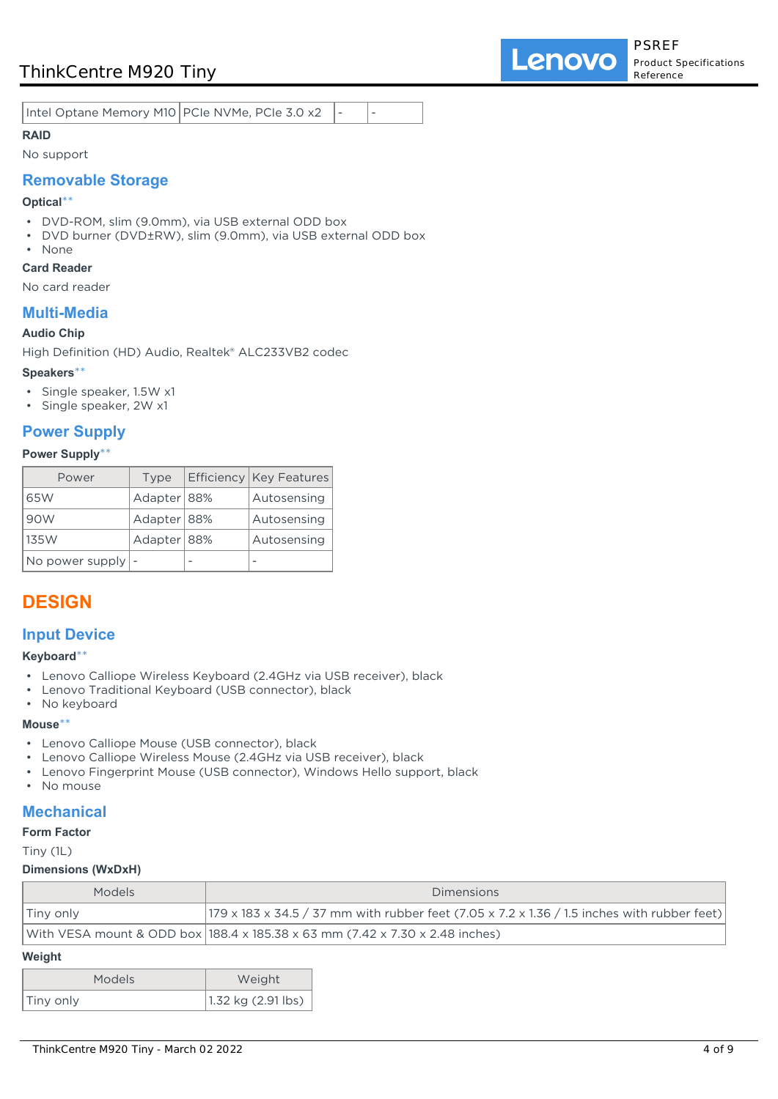## ThinkCentre M920 Tiny

Intel Optane Memory M10 PCIe NVMe, PCIe 3.0 x2

## **RAID**

#### No support

### **Removable Storage**

#### **Optical**\*\*

- DVD-ROM, slim (9.0mm), via USB external ODD box
- DVD burner (DVD±RW), slim (9.0mm), via USB external ODD box
- None

### **Card Reader**

No card reader

## **Multi-Media**

#### **Audio Chip**

High Definition (HD) Audio, Realtek® ALC233VB2 codec

#### **Speakers**\*\*

- Single speaker, 1.5W x1
- Single speaker, 2W x1

## **Power Supply**

#### **Power Supply**\*\*

| Power                               | Type          | <b>Efficiency   Key Features</b> |
|-------------------------------------|---------------|----------------------------------|
| 65W                                 | Adapter   88% | Autosensing                      |
| 90W                                 | Adapter 88%   | Autosensing                      |
| 135W                                | Adapter 88%   | Autosensing                      |
| No power supply $\vert \cdot \vert$ |               |                                  |

## **DESIGN**

## **Input Device**

#### **Keyboard**\*\*

- Lenovo Calliope Wireless Keyboard (2.4GHz via USB receiver), black
- Lenovo Traditional Keyboard (USB connector), black
- No keyboard

### **Mouse**\*\*

- Lenovo Calliope Mouse (USB connector), black
- Lenovo Calliope Wireless Mouse (2.4GHz via USB receiver), black
- Lenovo Fingerprint Mouse (USB connector), Windows Hello support, black
- No mouse

## **Mechanical**

#### **Form Factor**

Tiny (1L)

#### **Dimensions (WxDxH)**

| <b>Models</b> | <b>Dimensions</b>                                                                                        |
|---------------|----------------------------------------------------------------------------------------------------------|
| Tiny only     | $ 179 \times 183 \times 34.5 / 37$ mm with rubber feet (7.05 x 7.2 x 1.36 / 1.5 inches with rubber feet) |
|               | With VESA mount & ODD box   188.4 x 185.38 x 63 mm (7.42 x 7.30 x 2.48 inches)                           |

#### **Weight**

| <b>Models</b> | Weight               |  |  |
|---------------|----------------------|--|--|
| Tiny only     | $1.32$ kg (2.91 lbs) |  |  |

**Lenovo**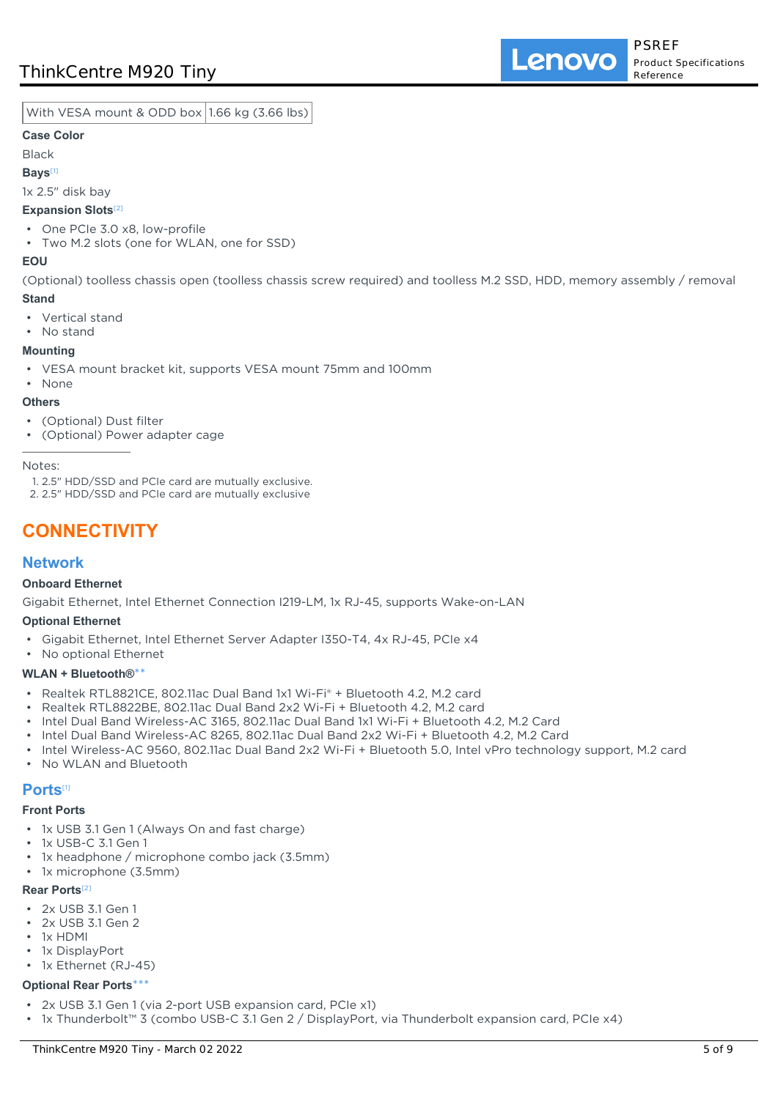Lenovo

With VESA mount & ODD box 1.66 kg (3.66 lbs)

#### **Case Color**

Black

#### **Bays**[1]

1x 2.5" disk bay

### **Expansion Slots**[2]

- One PCIe 3.0 x8, low-profile
- Two M.2 slots (one for WLAN, one for SSD)

#### **EOU**

(Optional) toolless chassis open (toolless chassis screw required) and toolless M.2 SSD, HDD, memory assembly / removal **Stand**

- Vertical stand
- No stand

### **Mounting**

- VESA mount bracket kit, supports VESA mount 75mm and 100mm
- None

#### **Others**

- (Optional) Dust filter
- (Optional) Power adapter cage

Notes:

1. 2.5" HDD/SSD and PCIe card are mutually exclusive.

2. 2.5" HDD/SSD and PCIe card are mutually exclusive

# **CONNECTIVITY**

## **Network**

#### **Onboard Ethernet**

Gigabit Ethernet, Intel Ethernet Connection I219-LM, 1x RJ-45, supports Wake-on-LAN

#### **Optional Ethernet**

- Gigabit Ethernet, Intel Ethernet Server Adapter I350-T4, 4x RJ-45, PCIe x4
- No optional Ethernet

#### **WLAN + Bluetooth®**\*\*

- Realtek RTL8821CE, 802.11ac Dual Band 1x1 Wi-Fi® + Bluetooth 4.2, M.2 card
- Realtek RTL8822BE, 802.11ac Dual Band 2x2 Wi-Fi + Bluetooth 4.2, M.2 card
- Intel Dual Band Wireless-AC 3165, 802.11ac Dual Band 1x1 Wi-Fi + Bluetooth 4.2, M.2 Card
- Intel Dual Band Wireless-AC 8265, 802.11ac Dual Band 2x2 Wi-Fi + Bluetooth 4.2, M.2 Card
- Intel Wireless-AC 9560, 802.11ac Dual Band 2x2 Wi-Fi + Bluetooth 5.0, Intel vPro technology support, M.2 card
- No WLAN and Bluetooth

### **Ports**[1]

#### **Front Ports**

- 1x USB 3.1 Gen 1 (Always On and fast charge)
- 1x USB-C 3.1 Gen 1
- 1x headphone / microphone combo jack (3.5mm)
- 1x microphone (3.5mm)

#### **Rear Ports**[2]

- 2x USB 3.1 Gen 1
- 2x USB 3.1 Gen 2
- 1x HDMI
- 1x DisplayPort
- 1x Ethernet (RJ-45)

#### **Optional Rear Ports**\*\*\*

- 2x USB 3.1 Gen 1 (via 2-port USB expansion card, PCIe x1)
- 1x Thunderbolt™ 3 (combo USB-C 3.1 Gen 2 / DisplayPort, via Thunderbolt expansion card, PCIe x4)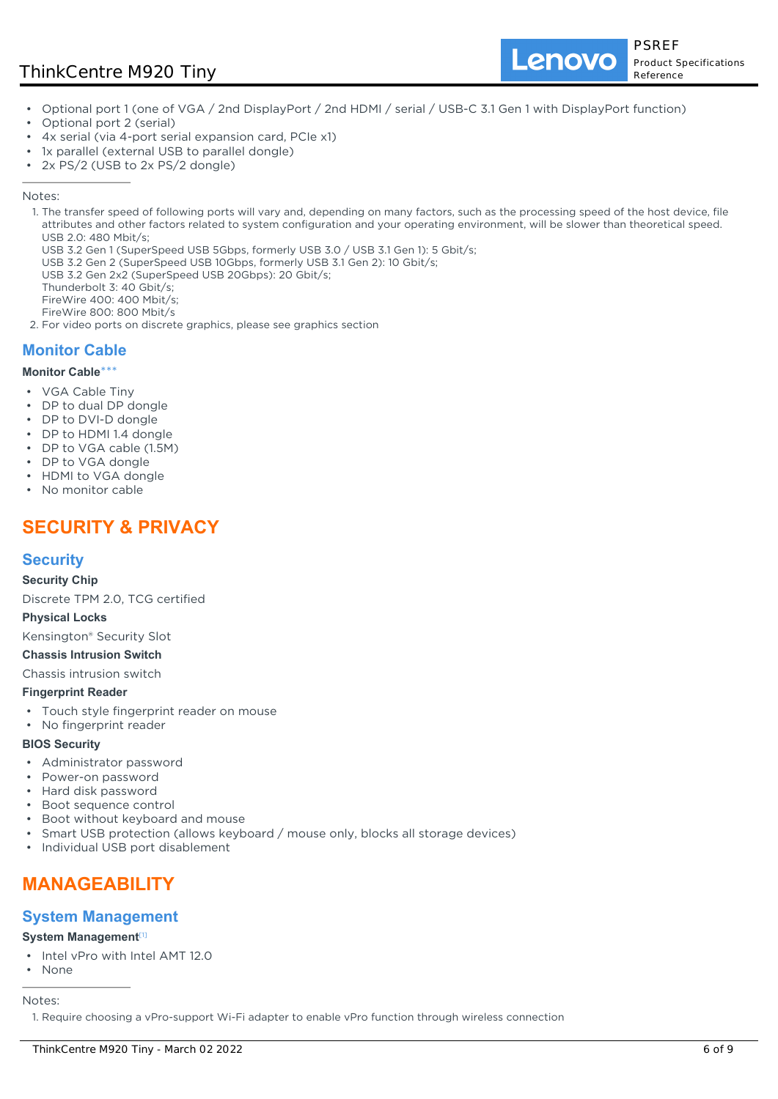## ThinkCentre M920 Tiny

Lenovo

- Optional port 1 (one of VGA / 2nd DisplayPort / 2nd HDMI / serial / USB-C 3.1 Gen 1 with DisplayPort function)
- Optional port 2 (serial)
- 4x serial (via 4-port serial expansion card, PCIe x1)
- 1x parallel (external USB to parallel dongle)
- 2x PS/2 (USB to 2x PS/2 dongle)

#### Notes:

- 1. The transfer speed of following ports will vary and, depending on many factors, such as the processing speed of the host device, file attributes and other factors related to system configuration and your operating environment, will be slower than theoretical speed. USB 2.0: 480 Mbit/s;
	- USB 3.2 Gen 1 (SuperSpeed USB 5Gbps, formerly USB 3.0 / USB 3.1 Gen 1): 5 Gbit/s;
	- USB 3.2 Gen 2 (SuperSpeed USB 10Gbps, formerly USB 3.1 Gen 2): 10 Gbit/s;
- USB 3.2 Gen 2x2 (SuperSpeed USB 20Gbps): 20 Gbit/s;
- Thunderbolt 3: 40 Gbit/s;
- FireWire 400: 400 Mbit/s;
- FireWire 800: 800 Mbit/s
- 2. For video ports on discrete graphics, please see graphics section

## **Monitor Cable**

#### **Monitor Cable**\*\*\*

- VGA Cable Tiny
- DP to dual DP dongle
- DP to DVI-D dongle
- DP to HDMI 1.4 dongle
- DP to VGA cable (1.5M)
- DP to VGA dongle
- HDMI to VGA dongle
- No monitor cable

# **SECURITY & PRIVACY**

## **Security**

**Security Chip**

Discrete TPM 2.0, TCG certified

#### **Physical Locks**

Kensington® Security Slot

#### **Chassis Intrusion Switch**

Chassis intrusion switch

#### **Fingerprint Reader**

- Touch style fingerprint reader on mouse
- No fingerprint reader

#### **BIOS Security**

- Administrator password
- Power-on password
- Hard disk password
- Boot sequence control
- Boot without keyboard and mouse
- Smart USB protection (allows keyboard / mouse only, blocks all storage devices)
- Individual USB port disablement

# **MANAGEABILITY**

### **System Management**

#### **System Management**[1]

- Intel vPro with Intel AMT 12.0
- None

Notes:

1. Require choosing a vPro-support Wi-Fi adapter to enable vPro function through wireless connection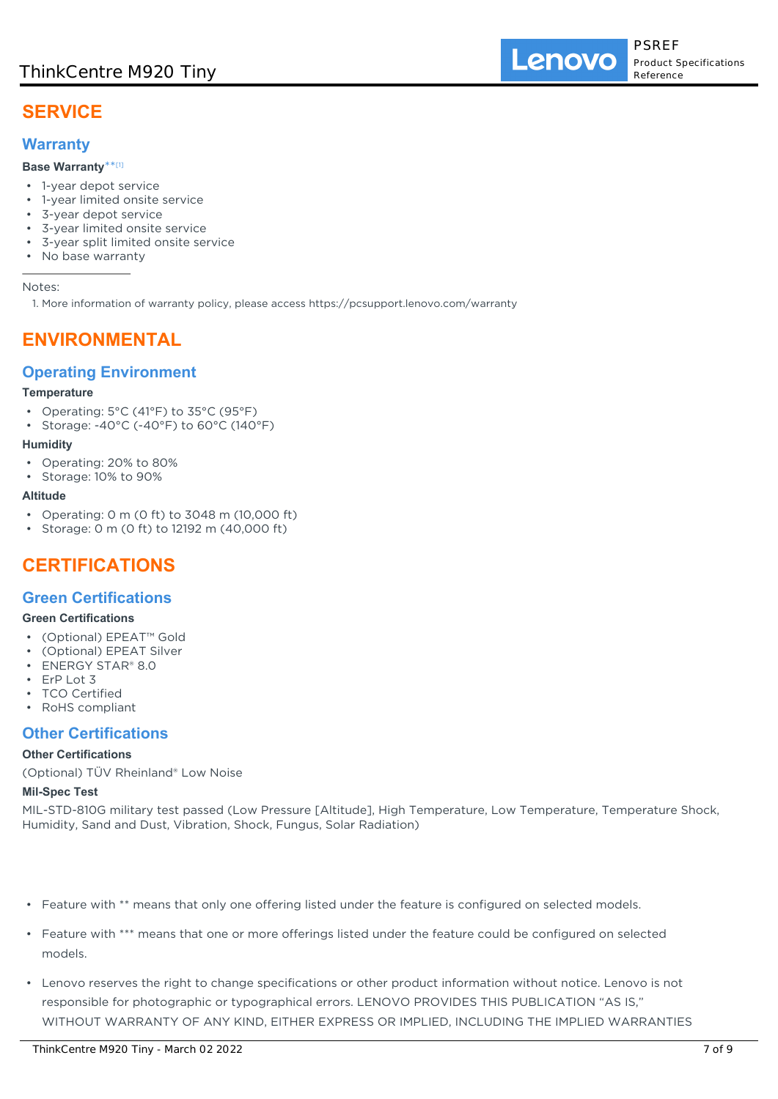Lenovo

# **SERVICE**

## **Warranty**

### **Base Warranty**\*\* [1]

- 1-year depot service
- 1-year limited onsite service
- 3-year depot service
- 3-year limited onsite service
- 3-year split limited onsite service
- No base warranty

Notes:

1. More information of warranty policy, please access https://pcsupport.lenovo.com/warranty

## **ENVIRONMENTAL**

## **Operating Environment**

#### **Temperature**

- Operating: 5°C (41°F) to 35°C (95°F)
- Storage: -40°C (-40°F) to 60°C (140°F)

#### **Humidity**

- Operating: 20% to 80%
- Storage: 10% to 90%

#### **Altitude**

- Operating: 0 m (0 ft) to 3048 m (10,000 ft)
- Storage: 0 m (0 ft) to 12192 m (40,000 ft)

# **CERTIFICATIONS**

### **Green Certifications**

#### **Green Certifications**

- (Optional) EPEAT™ Gold
- (Optional) EPEAT Silver
- ENERGY STAR® 8.0
- FrP I ot 3
- **TCO Certified**
- RoHS compliant

### **Other Certifications**

#### **Other Certifications**

(Optional) TÜV Rheinland® Low Noise

#### **Mil-Spec Test**

MIL-STD-810G military test passed (Low Pressure [Altitude], High Temperature, Low Temperature, Temperature Shock, Humidity, Sand and Dust, Vibration, Shock, Fungus, Solar Radiation)

- Feature with \*\* means that only one offering listed under the feature is configured on selected models.
- Feature with \*\*\* means that one or more offerings listed under the feature could be configured on selected models.
- Lenovo reserves the right to change specifications or other product information without notice. Lenovo is not responsible for photographic or typographical errors. LENOVO PROVIDES THIS PUBLICATION "AS IS," WITHOUT WARRANTY OF ANY KIND, EITHER EXPRESS OR IMPLIED, INCLUDING THE IMPLIED WARRANTIES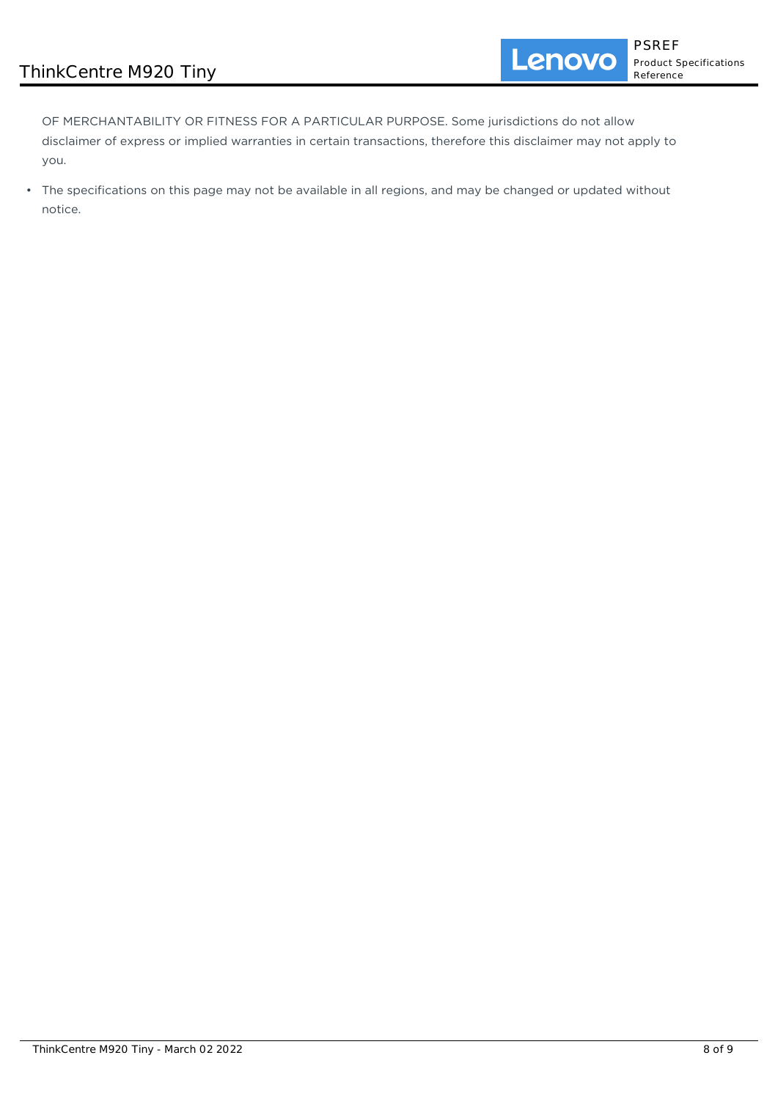OF MERCHANTABILITY OR FITNESS FOR A PARTICULAR PURPOSE. Some jurisdictions do not allow disclaimer of express or implied warranties in certain transactions, therefore this disclaimer may not apply to you.

• The specifications on this page may not be available in all regions, and may be changed or updated without notice.